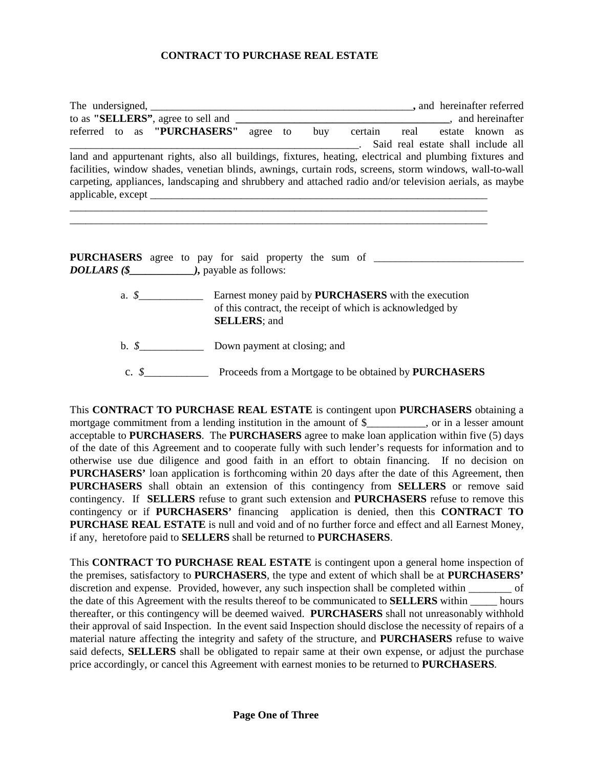## **CONTRACT TO PURCHASE REAL ESTATE**

|                                                                                                          |  |  |                                           |       |    |     |         |      | , and hereinafter referred         |                 |  |
|----------------------------------------------------------------------------------------------------------|--|--|-------------------------------------------|-------|----|-----|---------|------|------------------------------------|-----------------|--|
|                                                                                                          |  |  | to as "SELLERS", agree to sell and ______ |       |    |     |         |      |                                    | and hereinafter |  |
|                                                                                                          |  |  | referred to as "PURCHASERS"               | agree | to | buy | certain | real |                                    | estate known as |  |
|                                                                                                          |  |  |                                           |       |    |     |         |      | Said real estate shall include all |                 |  |
| land and appurtenant rights, also all buildings, fixtures, heating, electrical and plumbing fixtures and |  |  |                                           |       |    |     |         |      |                                    |                 |  |
| facilities, window shades, venetian blinds, awnings, curtain rods, screens, storm windows, wall-to-wall  |  |  |                                           |       |    |     |         |      |                                    |                 |  |
| carpeting, appliances, landscaping and shrubbery and attached radio and/or television aerials, as maybe  |  |  |                                           |       |    |     |         |      |                                    |                 |  |
| applicable, except                                                                                       |  |  |                                           |       |    |     |         |      |                                    |                 |  |
|                                                                                                          |  |  |                                           |       |    |     |         |      |                                    |                 |  |

**PURCHASERS** agree to pay for said property the sum of \_\_\_\_\_\_\_\_\_\_\_\_\_\_\_\_\_\_\_\_\_\_\_\_\_\_ *DOLLARS (\$\_\_\_\_\_\_\_\_\_\_\_\_),* payable as follows:

\_\_\_\_\_\_\_\_\_\_\_\_\_\_\_\_\_\_\_\_\_\_\_\_\_\_\_\_\_\_\_\_\_\_\_\_\_\_\_\_\_\_\_\_\_\_\_\_\_\_\_\_\_\_\_\_\_\_\_\_\_\_\_\_\_\_\_\_\_\_\_\_\_\_\_\_\_\_

- a. *\$\_\_\_\_\_\_\_\_\_\_\_\_* Earnest money paid by **PURCHASERS** with the execution of this contract, the receipt of which is acknowledged by **SELLERS**; and
- b. *\$\_\_\_\_\_\_\_\_\_\_\_\_* Down payment at closing; and
- c. *\$\_\_\_\_\_\_\_\_\_\_\_\_* Proceeds from a Mortgage to be obtained by **PURCHASERS**

This **CONTRACT TO PURCHASE REAL ESTATE** is contingent upon **PURCHASERS** obtaining a mortgage commitment from a lending institution in the amount of \$\_\_\_\_\_\_\_\_\_\_\_, or in a lesser amount acceptable to **PURCHASERS**. The **PURCHASERS** agree to make loan application within five (5) days of the date of this Agreement and to cooperate fully with such lender's requests for information and to otherwise use due diligence and good faith in an effort to obtain financing. If no decision on **PURCHASERS'** loan application is forthcoming within 20 days after the date of this Agreement, then **PURCHASERS** shall obtain an extension of this contingency from **SELLERS** or remove said contingency. If **SELLERS** refuse to grant such extension and **PURCHASERS** refuse to remove this contingency or if **PURCHASERS'** financing application is denied, then this **CONTRACT TO PURCHASE REAL ESTATE** is null and void and of no further force and effect and all Earnest Money, if any, heretofore paid to **SELLERS** shall be returned to **PURCHASERS**.

This **CONTRACT TO PURCHASE REAL ESTATE** is contingent upon a general home inspection of the premises, satisfactory to **PURCHASERS**, the type and extent of which shall be at **PURCHASERS'**  discretion and expense. Provided, however, any such inspection shall be completed within of the date of this Agreement with the results thereof to be communicated to **SELLERS** within \_\_\_\_\_ hours thereafter, or this contingency will be deemed waived. **PURCHASERS** shall not unreasonably withhold their approval of said Inspection. In the event said Inspection should disclose the necessity of repairs of a material nature affecting the integrity and safety of the structure, and **PURCHASERS** refuse to waive said defects, **SELLERS** shall be obligated to repair same at their own expense, or adjust the purchase price accordingly, or cancel this Agreement with earnest monies to be returned to **PURCHASERS**.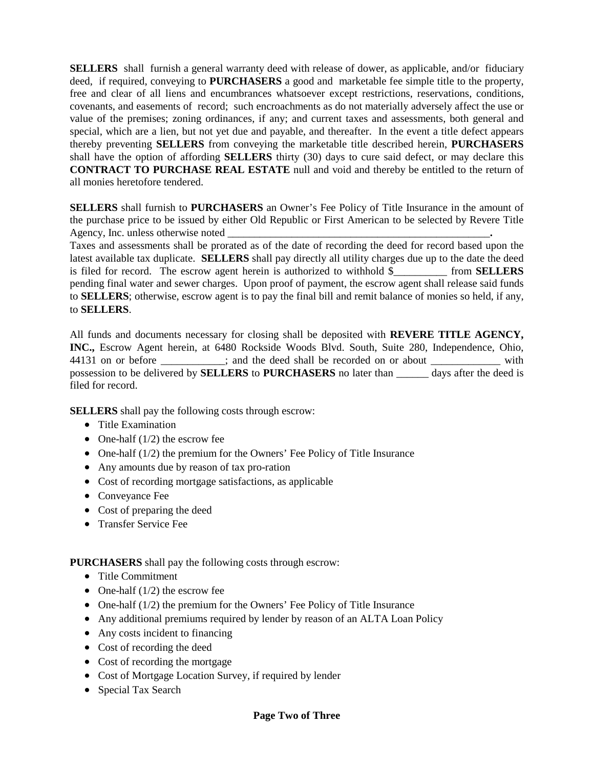**SELLERS** shall furnish a general warranty deed with release of dower, as applicable, and/or fiduciary deed, if required, conveying to **PURCHASERS** a good and marketable fee simple title to the property, free and clear of all liens and encumbrances whatsoever except restrictions, reservations, conditions, covenants, and easements of record; such encroachments as do not materially adversely affect the use or value of the premises; zoning ordinances, if any; and current taxes and assessments, both general and special, which are a lien, but not yet due and payable, and thereafter. In the event a title defect appears thereby preventing **SELLERS** from conveying the marketable title described herein, **PURCHASERS** shall have the option of affording **SELLERS** thirty (30) days to cure said defect, or may declare this **CONTRACT TO PURCHASE REAL ESTATE** null and void and thereby be entitled to the return of all monies heretofore tendered.

**SELLERS** shall furnish to **PURCHASERS** an Owner's Fee Policy of Title Insurance in the amount of the purchase price to be issued by either Old Republic or First American to be selected by Revere Title Agency, Inc. unless otherwise noted \_\_\_\_\_\_\_\_\_\_\_\_\_\_\_\_\_\_\_\_\_\_\_\_\_\_\_\_\_\_\_\_\_\_\_\_\_\_\_\_\_\_\_\_\_\_\_\_\_**.**

Taxes and assessments shall be prorated as of the date of recording the deed for record based upon the latest available tax duplicate. **SELLERS** shall pay directly all utility charges due up to the date the deed is filed for record. The escrow agent herein is authorized to withhold \$\_\_\_\_\_\_\_\_\_\_ from **SELLERS** pending final water and sewer charges. Upon proof of payment, the escrow agent shall release said funds to **SELLERS**; otherwise, escrow agent is to pay the final bill and remit balance of monies so held, if any, to **SELLERS**.

All funds and documents necessary for closing shall be deposited with **REVERE TITLE AGENCY, INC.,** Escrow Agent herein, at 6480 Rockside Woods Blvd. South, Suite 280, Independence, Ohio, 44131 on or before \_\_\_\_\_\_\_\_; and the deed shall be recorded on or about \_\_\_\_\_\_\_\_\_\_\_\_\_ with possession to be delivered by **SELLERS** to **PURCHASERS** no later than \_\_\_\_\_\_ days after the deed is filed for record.

**SELLERS** shall pay the following costs through escrow:

- Title Examination
- One-half  $(1/2)$  the escrow fee
- One-half (1/2) the premium for the Owners' Fee Policy of Title Insurance
- Any amounts due by reason of tax pro-ration
- Cost of recording mortgage satisfactions, as applicable
- Conveyance Fee
- Cost of preparing the deed
- Transfer Service Fee

**PURCHASERS** shall pay the following costs through escrow:

- Title Commitment
- One-half  $(1/2)$  the escrow fee
- One-half (1/2) the premium for the Owners' Fee Policy of Title Insurance
- Any additional premiums required by lender by reason of an ALTA Loan Policy
- Any costs incident to financing
- Cost of recording the deed
- Cost of recording the mortgage
- Cost of Mortgage Location Survey, if required by lender
- Special Tax Search

## **Page Two of Three**